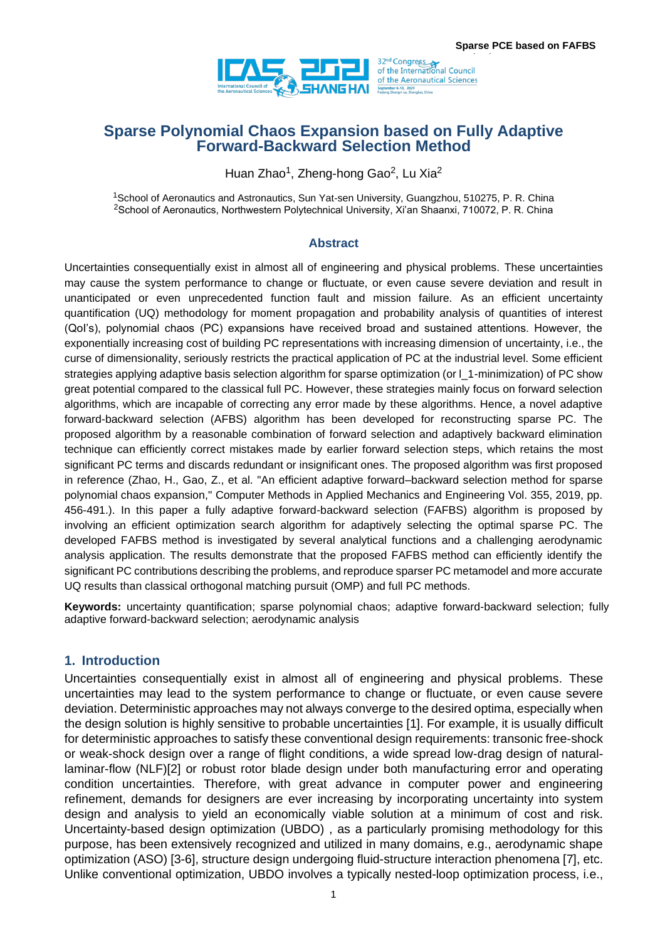

# **Sparse Polynomial Chaos Expansion based on Fully Adaptive Forward-Backward Selection Method**

Huan Zhao<sup>1</sup>, Zheng-hong Gao<sup>2</sup>, Lu Xia<sup>2</sup>

<sup>1</sup>School of Aeronautics and Astronautics, Sun Yat-sen University, Guangzhou, 510275, P. R. China <sup>2</sup>School of Aeronautics, Northwestern Polytechnical University, Xi'an Shaanxi, 710072, P. R. China

#### **Abstract**

Uncertainties consequentially exist in almost all of engineering and physical problems. These uncertainties may cause the system performance to change or fluctuate, or even cause severe deviation and result in unanticipated or even unprecedented function fault and mission failure. As an efficient uncertainty quantification (UQ) methodology for moment propagation and probability analysis of quantities of interest (QoI's), polynomial chaos (PC) expansions have received broad and sustained attentions. However, the exponentially increasing cost of building PC representations with increasing dimension of uncertainty, i.e., the curse of dimensionality, seriously restricts the practical application of PC at the industrial level. Some efficient strategies applying adaptive basis selection algorithm for sparse optimization (or l\_1-minimization) of PC show great potential compared to the classical full PC. However, these strategies mainly focus on forward selection algorithms, which are incapable of correcting any error made by these algorithms. Hence, a novel adaptive forward-backward selection (AFBS) algorithm has been developed for reconstructing sparse PC. The proposed algorithm by a reasonable combination of forward selection and adaptively backward elimination technique can efficiently correct mistakes made by earlier forward selection steps, which retains the most significant PC terms and discards redundant or insignificant ones. The proposed algorithm was first proposed in reference (Zhao, H., Gao, Z., et al. "An efficient adaptive forward–backward selection method for sparse polynomial chaos expansion," Computer Methods in Applied Mechanics and Engineering Vol. 355, 2019, pp. 456-491.). In this paper a fully adaptive forward-backward selection (FAFBS) algorithm is proposed by involving an efficient optimization search algorithm for adaptively selecting the optimal sparse PC. The developed FAFBS method is investigated by several analytical functions and a challenging aerodynamic analysis application. The results demonstrate that the proposed FAFBS method can efficiently identify the significant PC contributions describing the problems, and reproduce sparser PC metamodel and more accurate UQ results than classical orthogonal matching pursuit (OMP) and full PC methods.

**Keywords:** uncertainty quantification; sparse polynomial chaos; adaptive forward-backward selection; fully adaptive forward-backward selection; aerodynamic analysis

### **1. Introduction**

Uncertainties consequentially exist in almost all of engineering and physical problems. These uncertainties may lead to the system performance to change or fluctuate, or even cause severe deviation. Deterministic approaches may not always converge to the desired optima, especially when the design solution is highly sensitive to probable uncertainties [1]. For example, it is usually difficult for deterministic approaches to satisfy these conventional design requirements: transonic free-shock or weak-shock design over a range of flight conditions, a wide spread low-drag design of naturallaminar-flow (NLF)[2] or robust rotor blade design under both manufacturing error and operating condition uncertainties. Therefore, with great advance in computer power and engineering refinement, demands for designers are ever increasing by incorporating uncertainty into system design and analysis to yield an economically viable solution at a minimum of cost and risk. Uncertainty-based design optimization (UBDO) , as a particularly promising methodology for this purpose, has been extensively recognized and utilized in many domains, e.g., aerodynamic shape optimization (ASO) [3-6], structure design undergoing fluid-structure interaction phenomena [7], etc. Unlike conventional optimization, UBDO involves a typically nested-loop optimization process, i.e.,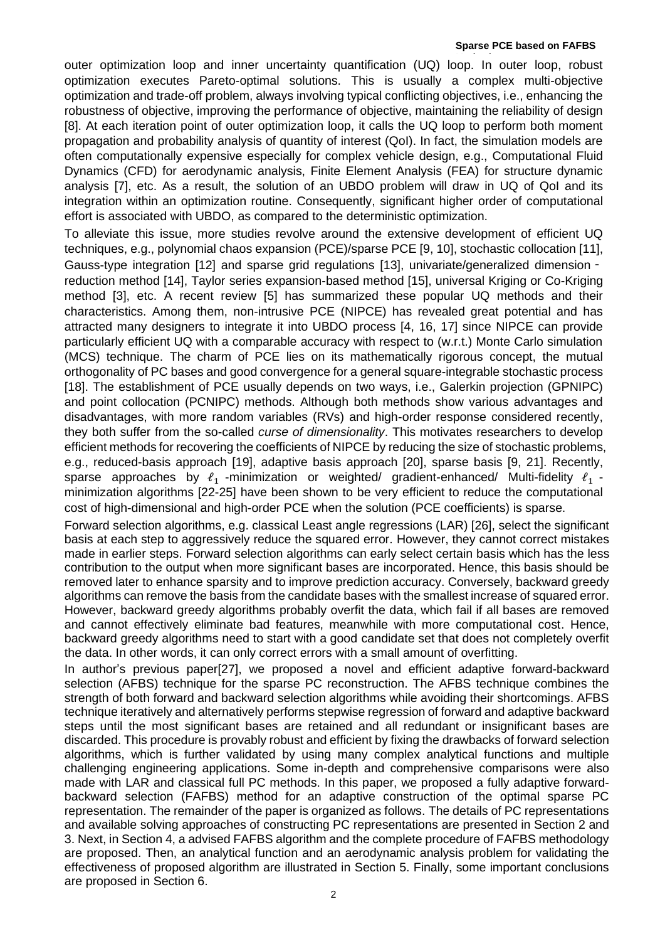outer optimization loop and inner uncertainty quantification (UQ) loop. In outer loop, robust optimization executes Pareto-optimal solutions. This is usually a complex multi-objective optimization and trade-off problem, always involving typical conflicting objectives, i.e., enhancing the robustness of objective, improving the performance of objective, maintaining the reliability of design [8]. At each iteration point of outer optimization loop, it calls the UQ loop to perform both moment propagation and probability analysis of quantity of interest (QoI). In fact, the simulation models are often computationally expensive especially for complex vehicle design, e.g., Computational Fluid Dynamics (CFD) for aerodynamic analysis, Finite Element Analysis (FEA) for structure dynamic analysis [7], etc. As a result, the solution of an UBDO problem will draw in UQ of QoI and its integration within an optimization routine. Consequently, significant higher order of computational effort is associated with UBDO, as compared to the deterministic optimization.

To alleviate this issue, more studies revolve around the extensive development of efficient UQ techniques, e.g., polynomial chaos expansion (PCE)/sparse PCE [9, 10], stochastic collocation [11], Gauss-type integration [12] and sparse grid regulations [13], univariate/generalized dimension‐ reduction method [14], Taylor series expansion-based method [15], universal Kriging or Co-Kriging method [3], etc. A recent review [5] has summarized these popular UQ methods and their characteristics. Among them, non-intrusive PCE (NIPCE) has revealed great potential and has attracted many designers to integrate it into UBDO process [4, 16, 17] since NIPCE can provide particularly efficient UQ with a comparable accuracy with respect to (w.r.t.) Monte Carlo simulation (MCS) technique. The charm of PCE lies on its mathematically rigorous concept, the mutual orthogonality of PC bases and good convergence for a general square-integrable stochastic process [18]. The establishment of PCE usually depends on two ways, i.e., Galerkin projection (GPNIPC) and point collocation (PCNIPC) methods. Although both methods show various advantages and disadvantages, with more random variables (RVs) and high-order response considered recently, they both suffer from the so-called *curse of dimensionality*. This motivates researchers to develop efficient methods for recovering the coefficients of NIPCE by reducing the size of stochastic problems, e.g., reduced-basis approach [19], adaptive basis approach [20], sparse basis [9, 21]. Recently, sparse approaches by  $\ell_1$  -minimization or weighted/ gradient-enhanced/ Multi-fidelity  $\ell_1$  minimization algorithms [22-25] have been shown to be very efficient to reduce the computational cost of high-dimensional and high-order PCE when the solution (PCE coefficients) is sparse.

Forward selection algorithms, e.g. classical Least angle regressions (LAR) [26], select the significant basis at each step to aggressively reduce the squared error. However, they cannot correct mistakes made in earlier steps. Forward selection algorithms can early select certain basis which has the less contribution to the output when more significant bases are incorporated. Hence, this basis should be removed later to enhance sparsity and to improve prediction accuracy. Conversely, backward greedy algorithms can remove the basis from the candidate bases with the smallest increase of squared error. However, backward greedy algorithms probably overfit the data, which fail if all bases are removed and cannot effectively eliminate bad features, meanwhile with more computational cost. Hence, backward greedy algorithms need to start with a good candidate set that does not completely overfit the data. In other words, it can only correct errors with a small amount of overfitting.

In author's previous paper[27], we proposed a novel and efficient adaptive forward-backward selection (AFBS) technique for the sparse PC reconstruction. The AFBS technique combines the strength of both forward and backward selection algorithms while avoiding their shortcomings. AFBS technique iteratively and alternatively performs stepwise regression of forward and adaptive backward steps until the most significant bases are retained and all redundant or insignificant bases are discarded. This procedure is provably robust and efficient by fixing the drawbacks of forward selection algorithms, which is further validated by using many complex analytical functions and multiple challenging engineering applications. Some in-depth and comprehensive comparisons were also made with LAR and classical full PC methods. In this paper, we proposed a fully adaptive forwardbackward selection (FAFBS) method for an adaptive construction of the optimal sparse PC representation. The remainder of the paper is organized as follows. The details of PC representations and available solving approaches of constructing PC representations are presented in Section [2](#page-2-0) and [3.](#page-3-0) Next, in Section [4,](#page-6-0) a advised FAFBS algorithm and the complete procedure of FAFBS methodology are proposed. Then, an analytical function and an aerodynamic analysis problem for validating the effectiveness of proposed algorithm are illustrated in Section [5.](#page-6-1) Finally, some important conclusions are proposed in Section [6.](#page-10-0)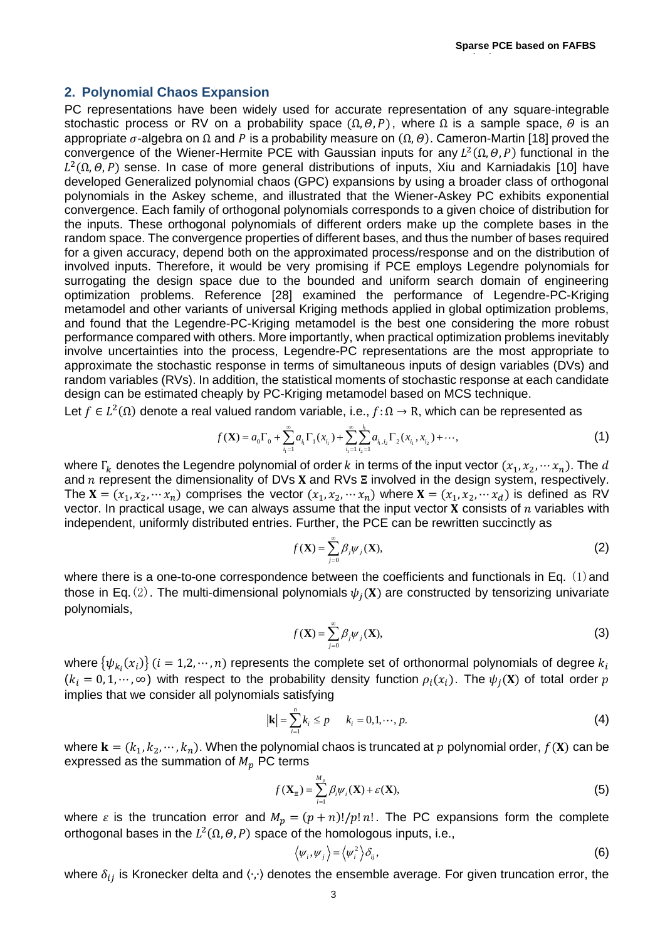**Method**

### <span id="page-2-0"></span>**2. Polynomial Chaos Expansion**

PC representations have been widely used for accurate representation of any square-integrable stochastic process or RV on a probability space  $(\Omega, \Theta, P)$ , where  $\Omega$  is a sample space,  $\Theta$  is an appropriate  $\sigma$ -algebra on  $\Omega$  and P is a probability measure on  $(\Omega,\theta)$ . Cameron-Martin [18] proved the convergence of the Wiener-Hermite PCE with Gaussian inputs for any  $L^2(\Omega,\theta,P)$  functional in the  $L^2(\Omega,\theta,P)$  sense. In case of more general distributions of inputs, Xiu and Karniadakis [10] have developed Generalized polynomial chaos (GPC) expansions by using a broader class of orthogonal polynomials in the Askey scheme, and illustrated that the Wiener-Askey PC exhibits exponential convergence. Each family of orthogonal polynomials corresponds to a given choice of distribution for the inputs. These orthogonal polynomials of different orders make up the complete bases in the random space. The convergence properties of different bases, and thus the number of bases required for a given accuracy, depend both on the approximated process/response and on the distribution of involved inputs. Therefore, it would be very promising if PCE employs Legendre polynomials for surrogating the design space due to the bounded and uniform search domain of engineering optimization problems. Reference [28] examined the performance of Legendre-PC-Kriging metamodel and other variants of universal Kriging methods applied in global optimization problems, and found that the Legendre-PC-Kriging metamodel is the best one considering the more robust performance compared with others. More importantly, when practical optimization problems inevitably involve uncertainties into the process, Legendre-PC representations are the most appropriate to approximate the stochastic response in terms of simultaneous inputs of design variables (DVs) and random variables (RVs). In addition, the statistical moments of stochastic response at each candidate design can be estimated cheaply by PC-Kriging metamodel based on MCS technique.

Let 
$$
f \in L^2(\Omega)
$$
 denote a real valued random variable, i.e.,  $f: \Omega \to \mathbb{R}$ , which can be represented as  
\n
$$
f(\mathbf{X}) = a_0 \Gamma_0 + \sum_{i_1=1}^{\infty} a_{i_1} \Gamma_1(x_{i_1}) + \sum_{i_1=1}^{\infty} \sum_{i_2=1}^{i_1} a_{i_1,i_2} \Gamma_2(x_{i_1}, x_{i_2}) + \cdots,
$$
\n(1)

where  $\Gamma_k$  denotes the Legendre polynomial of order k in terms of the input vector  $(x_1, x_2, \dots, x_n)$ . The d and  $n$  represent the dimensionality of DVs **X** and RVs  $\Xi$  involved in the design system, respectively. The  $X = (x_1, x_2, \dots, x_n)$  comprises the vector  $(x_1, x_2, \dots, x_n)$  where  $X = (x_1, x_2, \dots, x_n)$  is defined as RV vector. In practical usage, we can always assume that the input vector  $X$  consists of  $n$  variables with independent, uniformly distributed entries. Further, the PCE can be rewritten succinctly as

$$
f(\mathbf{X}) = \sum_{j=0}^{\infty} \beta_j \psi_j(\mathbf{X}),
$$
 (2)

where there is a one-to-one correspondence between the coefficients and functionals in Eq.  $(1)$  and those in Eq. (2). The multi-dimensional polynomials  $\psi_i(\mathbf{X})$  are constructed by tensorizing univariate polynomials,

$$
f(\mathbf{X}) = \sum_{j=0}^{\infty} \beta_j \psi_j(\mathbf{X}),
$$
 (3)

where  $\{\psi_{k_i}(x_i)\}$  ( $i=1,2,\cdots,n$ ) represents the complete set of orthonormal polynomials of degree  $k_i$  $(k_i = 0, 1, \dots, \infty)$  with respect to the probability density function  $\rho_i(x_i)$ . The  $\psi_i(\mathbf{X})$  of total order p implies that we consider all polynomials satisfying

$$
|\mathbf{k}| = \sum_{i=1}^{n} k_i \le p \qquad k_i = 0, 1, \cdots, p. \tag{4}
$$

where  $\mathbf{k} = (k_1, k_2, \dots, k_n)$ . When the polynomial chaos is truncated at p polynomial order,  $f(\mathbf{X})$  can be expressed as the summation of  $M_p$  PC terms

$$
f(\mathbf{X}_{\Xi}) = \sum_{i=1}^{M_p} \beta_i \psi_i(\mathbf{X}) + \varepsilon(\mathbf{X}),
$$
\n(5)

where  $\varepsilon$  is the truncation error and  $M_p = (p + n)!/p! n!$ . The PC expansions form the complete orthogonal bases in the  $L^2(\Omega, \Theta, P)$  space of the homologous inputs, i.e.,

$$
\langle \psi_i, \psi_j \rangle = \langle \psi_i^2 \rangle \delta_{ij}, \tag{6}
$$

where  $\delta_{ij}$  is Kronecker delta and  $\langle \cdot, \cdot \rangle$  denotes the ensemble average. For given truncation error, the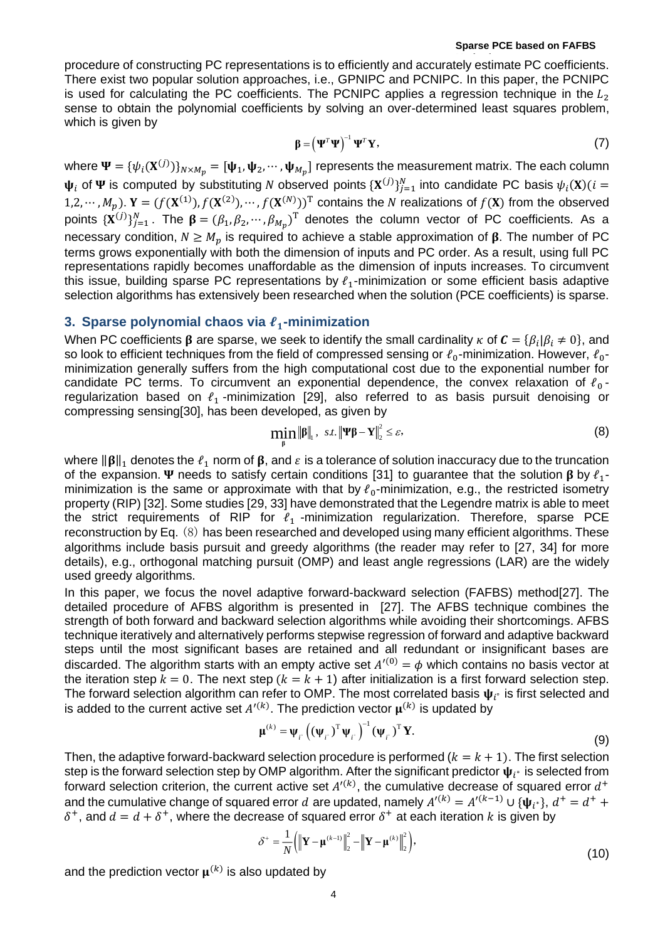procedure of constructing PC representations is to efficiently and accurately estimate PC coefficients. There exist two popular solution approaches, i.e., GPNIPC and PCNIPC. In this paper, the PCNIPC is used for calculating the PC coefficients. The PCNIPC applies a regression technique in the  $L_2$ sense to obtain the polynomial coefficients by solving an over-determined least squares problem, which is given by

$$
\beta = \left(\Psi^T \Psi\right)^{-1} \Psi^T \mathbf{Y},\tag{7}
$$

where  $\Psi=\{\psi_i(\mathbf{X}^{(j)})\}_{N\times M_p}=[\Psi_1,\Psi_2,\cdots,\Psi_{M_p}]$  represents the measurement matrix. The each column  $\psi_i$  of  $\Psi$  is computed by substituting N observed points  $\{X^{(j)}\}_{j=1}^N$  into candidate PC basis  $\psi_i(X)$ ( $i=$ 1,2,  $\cdots$ ,  $M_p$ ).  $Y = (f(X^{(1)}), f(X^{(2)}), \cdots, f(X^{(N)}))^T$  contains the N realizations of  $f(X)$  from the observed points  $\{X^{(j)}\}_{j=1}^N$ . The  $\beta = (\beta_1, \beta_2, \cdots, \beta_{M_p})^T$  denotes the column vector of PC coefficients. As a necessary condition,  $N \ge M_p$  is required to achieve a stable approximation of  $\beta$ . The number of PC terms grows exponentially with both the dimension of inputs and PC order. As a result, using full PC representations rapidly becomes unaffordable as the dimension of inputs increases. To circumvent this issue, building sparse PC representations by  $l_1$ -minimization or some efficient basis adaptive selection algorithms has extensively been researched when the solution (PCE coefficients) is sparse.

### <span id="page-3-0"></span>**3. Sparse polynomial chaos via -minimization**

When PC coefficients  $\pmb{\beta}$  are sparse, we seek to identify the small cardinality  $\kappa$  of  $\pmb{C}=\{\pmb{\beta}_i|\pmb{\beta}_i\neq 0\}$ , and so look to efficient techniques from the field of compressed sensing or  $\ell_0$ -minimization. However,  $\ell_0$ minimization generally suffers from the high computational cost due to the exponential number for candidate PC terms. To circumvent an exponential dependence, the convex relaxation of  $\ell_0$ regularization based on  $l_1$ -minimization [29], also referred to as basis pursuit denoising or compressing sensing[30], has been developed, as given by

$$
\min_{\beta} \|\beta\|_{1}, \quad s.t. \|\Psi\beta - Y\|_{2}^{2} \leq \varepsilon,
$$
\n(8)

where  $\|\beta\|_1$  denotes the  $\ell_1$  norm of  $\beta$ , and  $\varepsilon$  is a tolerance of solution inaccuracy due to the truncation of the expansion.  $\Psi$  needs to satisfy certain conditions [31] to guarantee that the solution  $\beta$  by  $\ell_1$ minimization is the same or approximate with that by  $\ell_0$ -minimization, e.g., the restricted isometry property (RIP) [32]. Some studies [29, 33] have demonstrated that the Legendre matrix is able to meet the strict requirements of RIP for  $\ell_1$ -minimization regularization. Therefore, sparse PCE reconstruction by Eq. (8) has been researched and developed using many efficient algorithms. These algorithms include basis pursuit and greedy algorithms (the reader may refer to [27, 34] for more details), e.g., orthogonal matching pursuit (OMP) and least angle regressions (LAR) are the widely used greedy algorithms.

In this paper, we focus the novel adaptive forward-backward selection (FAFBS) method[27]. The detailed procedure of AFBS algorithm is presented in [27]. The AFBS technique combines the strength of both forward and backward selection algorithms while avoiding their shortcomings. AFBS technique iteratively and alternatively performs stepwise regression of forward and adaptive backward steps until the most significant bases are retained and all redundant or insignificant bases are discarded. The algorithm starts with an empty active set  $A'^{(0)} = \phi$  which contains no basis vector at the iteration step  $k = 0$ . The next step  $(k = k + 1)$  after initialization is a first forward selection step. The forward selection algorithm can refer to OMP. The most correlated basis  $\bm{\psi}_{i^{\circ}}$  is first selected and is added to the current active set  $A'^{(k)}$ . The prediction vector  $\boldsymbol{\mu}^{(k)}$  is updated by

$$
\boldsymbol{\mu}^{(k)} = \boldsymbol{\psi}_f \left( (\boldsymbol{\psi}_f)^{\mathrm{T}} \boldsymbol{\psi}_f \right)^{-1} (\boldsymbol{\psi}_f)^{\mathrm{T}} \mathbf{Y}.
$$
\n(9)

Then, the adaptive forward-backward selection procedure is performed ( $k = k + 1$ ). The first selection step is the forward selection step by OMP algorithm. After the significant predictor  $\bm{\psi}_{t^*}$  is selected from forward selection criterion, the current active set  $A^{\prime (k)}$ , the cumulative decrease of squared error  $d^+$ and the cumulative change of squared error  $d$  are updated, namely  $A'^{(k)} = A'^{(k-1)} \cup \{\psi_{i^*}\}, d^+ = d^+ +$  $\delta^+$ , and  $d = d + \delta^+$ , where the decrease of squared error  $\delta^+$  at each iteration k is given by

$$
\delta^+ = \frac{1}{N} \left( \left\| \mathbf{Y} - \mathbf{\mu}^{(k-1)} \right\|_2^2 - \left\| \mathbf{Y} - \mathbf{\mu}^{(k)} \right\|_2^2 \right),\tag{10}
$$

and the prediction vector  $\boldsymbol{\mu}^{(k)}$  is also updated by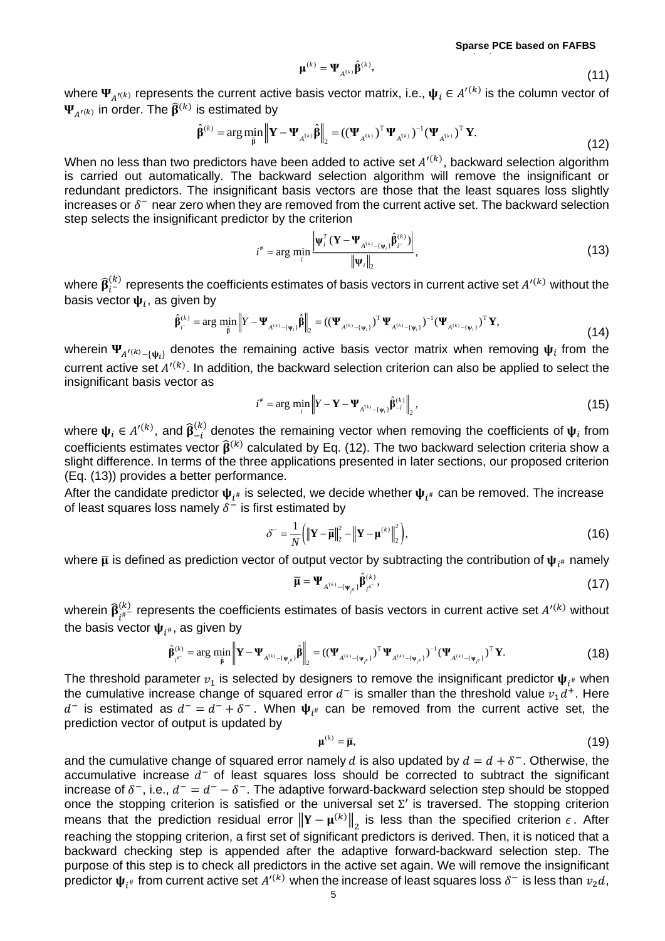$$
\boldsymbol{\mu}^{(k)} = \boldsymbol{\Psi}_{A^{(k)}} \hat{\boldsymbol{\beta}}^{(k)},
$$
\n(11)

where  $\Psi_{A'(k)}$  represents the current active basis vector matrix, i.e.,  $\Psi_i \in A'^{(k)}$  is the column vector of  $\Psi_{A^{\prime\left(k\right)}}$  in order. The  $\widehat{\boldsymbol{\beta}}^{\left(k\right)}$  is estimated by

$$
\hat{\boldsymbol{\beta}}^{(k)} = \arg \min_{\hat{\boldsymbol{\beta}}} \left\| \mathbf{Y} - \boldsymbol{\Psi}_{A^{(k)}} \hat{\boldsymbol{\beta}} \right\|_2 = ((\boldsymbol{\Psi}_{A^{(k)}})^{\mathrm{T}} \boldsymbol{\Psi}_{A^{(k)}})^{-1} (\boldsymbol{\Psi}_{A^{(k)}})^{\mathrm{T}} \mathbf{Y}.
$$
\n(12)

When no less than two predictors have been added to active set  $A^{\prime(k)}$ , backward selection algorithm is carried out automatically. The backward selection algorithm will remove the insignificant or redundant predictors. The insignificant basis vectors are those that the least squares loss slightly increases or  $\delta^-$  near zero when they are removed from the current active set. The backward selection step selects the insignificant predictor by the criterion

$$
i^* = \arg\min_i \frac{\left|\Psi_i^T (\mathbf{Y} - \mathbf{\Psi}_{A^{(k)} - \{\mathbf{\psi}_i\}} \hat{\mathbf{\beta}}_i^{(k)})\right|}{\left\|\mathbf{\Psi}_i\right\|_2},\tag{13}
$$

where  $\widehat{\beta}_{i^-}^{(k)}$  represents the coefficients estimates of basis vectors in current active set  $A'^{(k)}$  without the basis vector  $\boldsymbol{\psi}_i$ , as given by

$$
\hat{\beta}_{i}^{(k)} = \arg \min_{\hat{\beta}} \left\| Y - \Psi_{A^{(k)} - \{\psi_i\}} \hat{\beta} \right\|_2 = ((\Psi_{A^{(k)} - \{\psi_i\}})^T \Psi_{A^{(k)} - \{\psi_i\}})^{-1} (\Psi_{A^{(k)} - \{\psi_i\}})^T Y,
$$
\n(14)

wherein  $\Psi_{A'^{(k)}-\{\Psi_i\}}$  denotes the remaining active basis vector matrix when removing  $\Psi_i$  from the current active set  $A^{\prime (k)}$ . In addition, the backward selection criterion can also be applied to select the insignificant basis vector as

$$
i^* = \arg\min_i \left\| Y - \mathbf{Y} - \mathbf{\Psi}_{A^{(k)} - \{\mathbf{\psi}_i\}} \hat{\beta}_{-i}^{(k)} \right\|_2, \tag{15}
$$

where  $\boldsymbol{\psi}_i \in A'^{(k)}$ , and  $\widehat{\boldsymbol{\beta}}_{-i}^{(k)}$  $\binom{k}{i}$  denotes the remaining vector when removing the coefficients of  $\psi_i$  from coefficients estimates vector  $\widehat{\mathbf{B}}^{(k)}$  calculated by Eq. (12). The two backward selection criteria show a slight difference. In terms of the three applications presented in later sections, our proposed criterion (Eq. (13)) provides a better performance.

After the candidate predictor  $\boldsymbol{\psi}_{i^{\#}}$  is selected, we decide whether  $\boldsymbol{\psi}_{i^{\#}}$  can be removed. The increase of least squares loss namely  $\delta^-$  is first estimated by

$$
\delta^{-} = \frac{1}{N} \left( \left\| \mathbf{Y} - \overline{\mathbf{\mu}} \right\|_{2}^{2} - \left\| \mathbf{Y} - \mathbf{\mu}^{(k)} \right\|_{2}^{2} \right),\tag{16}
$$

where  $\overline{\mu}$  is defined as prediction vector of output vector by subtracting the contribution of  $\bm{\psi}_{i^{\#}}$  namely

$$
\overline{\mu} = \Psi_{A^{(k)} - \{\Psi_{i^{\#}}\}} \hat{\beta}_{i^{*}}^{(k)},\tag{17}
$$

wherein  $\widehat{\beta}_{l^{\#}}^{(k)}$  represents the coefficients estimates of basis vectors in current active set  $A'^{(k)}$  without the basis vector  $\boldsymbol{\psi}_{i^{\#}}$ , as given by

$$
\hat{\beta}_{i^{(k)}}^{(k)} = \arg \min_{\hat{\beta}} \left\| \mathbf{Y} - \mathbf{\Psi}_{A^{(k)} - \{\Psi_{i^a}\}} \hat{\beta} \right\|_2 = ((\mathbf{\Psi}_{A^{(k)} - \{\Psi_{i^a}\}})^T \mathbf{\Psi}_{A^{(k)} - \{\Psi_{i^a}\}})^{-1} (\mathbf{\Psi}_{A^{(k)} - \{\Psi_{i^a}\}})^T \mathbf{Y}.
$$
\n(18)

The threshold parameter  $v_1$  is selected by designers to remove the insignificant predictor  $\boldsymbol{\psi}_{t^\#}$  when the cumulative increase change of squared error  $d^-$  is smaller than the threshold value  $v_1d^+$ . Here d<sup>-</sup> is estimated as  $d^- = d^- + \delta^-$ . When  $\psi_{i^{\#}}$  can be removed from the current active set, the prediction vector of output is updated by

$$
\mu^{(k)} = \overline{\mu},\tag{19}
$$

and the cumulative change of squared error namely d is also updated by  $d = d + \delta^{-}$ . Otherwise, the accumulative increase  $d^-$  of least squares loss should be corrected to subtract the significant increase of  $\delta^-$ , i.e.,  $d^- = d^- - \delta^-$ . The adaptive forward-backward selection step should be stopped once the stopping criterion is satisfied or the universal set  $\Sigma'$  is traversed. The stopping criterion means that the prediction residual error  $\|\mathbf{Y}-\mathbf{\mu}^{(k)}\|_2$  is less than the specified criterion  $\epsilon$ . After reaching the stopping criterion, a first set of significant predictors is derived. Then, it is noticed that a backward checking step is appended after the adaptive forward-backward selection step. The purpose of this step is to check all predictors in the active set again. We will remove the insignificant predictor  $\pmb{\psi}_{i^{\#}}$  from current active set  $A'^{(k)}$  when the increase of least squares loss  $\delta^-$  is less than  $v_2d$ ,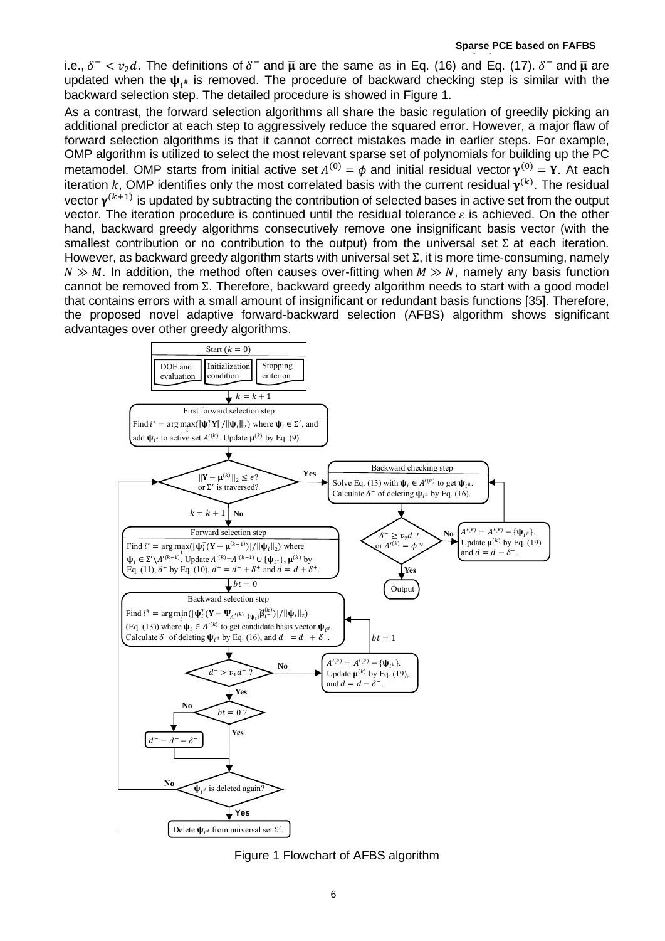i.e.,  $\delta^- < v_2 d$ . The definitions of  $\delta^-$  and  $\bar{\mu}$  are the same as in Eq. (16) and Eq. (17).  $\delta^-$  and  $\bar{\mu}$  are updated when the  $\psi_{i^{\#}}$  is removed. The procedure of backward checking step is similar with the backward selection step. The detailed procedure is showed in [Figure 1](#page-5-0).

As a contrast, the forward selection algorithms all share the basic regulation of greedily picking an additional predictor at each step to aggressively reduce the squared error. However, a major flaw of forward selection algorithms is that it cannot correct mistakes made in earlier steps. For example, OMP algorithm is utilized to select the most relevant sparse set of polynomials for building up the PC metamodel. OMP starts from initial active set  $A^{(0)} = \phi$  and initial residual vector  $\mathbf{y}^{(0)} = \mathbf{Y}$ . At each iteration k, OMP identifies only the most correlated basis with the current residual  $\pmb{\gamma}^{(k)}$ . The residual vector  $\gamma^{(k+1)}$  is updated by subtracting the contribution of selected bases in active set from the output vector. The iteration procedure is continued until the residual tolerance  $\varepsilon$  is achieved. On the other hand, backward greedy algorithms consecutively remove one insignificant basis vector (with the smallest contribution or no contribution to the output) from the universal set  $\Sigma$  at each iteration. However, as backward greedy algorithm starts with universal set  $\Sigma$ , it is more time-consuming, namely  $N \gg M$ . In addition, the method often causes over-fitting when  $M \gg N$ , namely any basis function cannot be removed from Σ. Therefore, backward greedy algorithm needs to start with a good model that contains errors with a small amount of insignificant or redundant basis functions [35]. Therefore, the proposed novel adaptive forward-backward selection (AFBS) algorithm shows significant advantages over other greedy algorithms.



<span id="page-5-0"></span>Figure 1 Flowchart of AFBS algorithm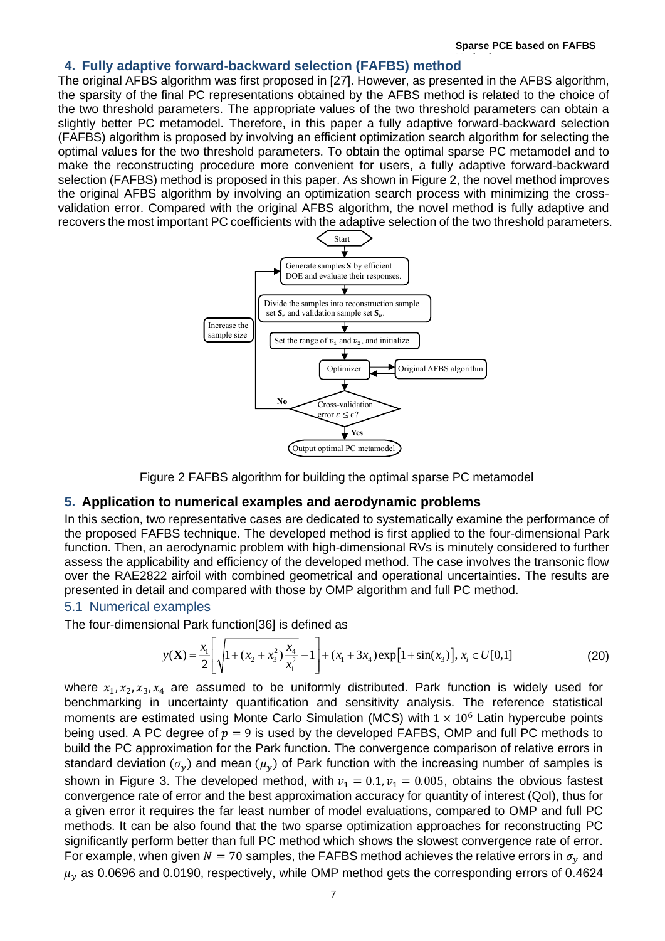#### <span id="page-6-0"></span>**Method 4. Fully adaptive forward-backward selection (FAFBS) method**

The original AFBS algorithm was first proposed in [27]. However, as presented in the AFBS algorithm, the sparsity of the final PC representations obtained by the AFBS method is related to the choice of the two threshold parameters. The appropriate values of the two threshold parameters can obtain a slightly better PC metamodel. Therefore, in this paper a fully adaptive forward-backward selection (FAFBS) algorithm is proposed by involving an efficient optimization search algorithm for selecting the optimal values for the two threshold parameters. To obtain the optimal sparse PC metamodel and to make the reconstructing procedure more convenient for users, a fully adaptive forward-backward selection (FAFBS) method is proposed in this paper. As shown in [Figure 2](#page-6-2), the novel method improves the original AFBS algorithm by involving an optimization search process with minimizing the crossvalidation error. Compared with the original AFBS algorithm, the novel method is fully adaptive and recovers the most important PC coefficients with the adaptive selection of the two threshold parameters.



Figure 2 FAFBS algorithm for building the optimal sparse PC metamodel

### <span id="page-6-2"></span><span id="page-6-1"></span>**5. Application to numerical examples and aerodynamic problems**

In this section, two representative cases are dedicated to systematically examine the performance of the proposed FAFBS technique. The developed method is first applied to the four-dimensional Park function. Then, an aerodynamic problem with high-dimensional RVs is minutely considered to further assess the applicability and efficiency of the developed method. The case involves the transonic flow over the RAE2822 airfoil with combined geometrical and operational uncertainties. The results are presented in detail and compared with those by OMP algorithm and full PC method.

### 5.1 Numerical examples

The four-dimensional Park function[36] is defined as

$$
y(\mathbf{X}) = \frac{x_1}{2} \left[ \sqrt{1 + (x_2 + x_3^2) \frac{x_4}{x_1^2}} - 1 \right] + (x_1 + 3x_4) \exp[1 + \sin(x_3)], x_i \in U[0,1]
$$
 (20)

where  $x_1, x_2, x_3, x_4$  are assumed to be uniformly distributed. Park function is widely used for benchmarking in uncertainty quantification and sensitivity analysis. The reference statistical moments are estimated using Monte Carlo Simulation (MCS) with  $1 \times 10^6$  Latin hypercube points being used. A PC degree of  $p = 9$  is used by the developed FAFBS, OMP and full PC methods to build the PC approximation for the Park function. The convergence comparison of relative errors in standard deviation ( $\sigma_{\nu}$ ) and mean ( $\mu_{\nu}$ ) of Park function with the increasing number of samples is shown in [Figure 3.](#page-7-0) The developed method, with  $v_1 = 0.1, v_1 = 0.005$ , obtains the obvious fastest convergence rate of error and the best approximation accuracy for quantity of interest (QoI), thus for a given error it requires the far least number of model evaluations, compared to OMP and full PC methods. It can be also found that the two sparse optimization approaches for reconstructing PC significantly perform better than full PC method which shows the slowest convergence rate of error. For example, when given  $N = 70$  samples, the FAFBS method achieves the relative errors in  $\sigma_{\rm v}$  and  $\mu_{\nu}$  as 0.0696 and 0.0190, respectively, while OMP method gets the corresponding errors of 0.4624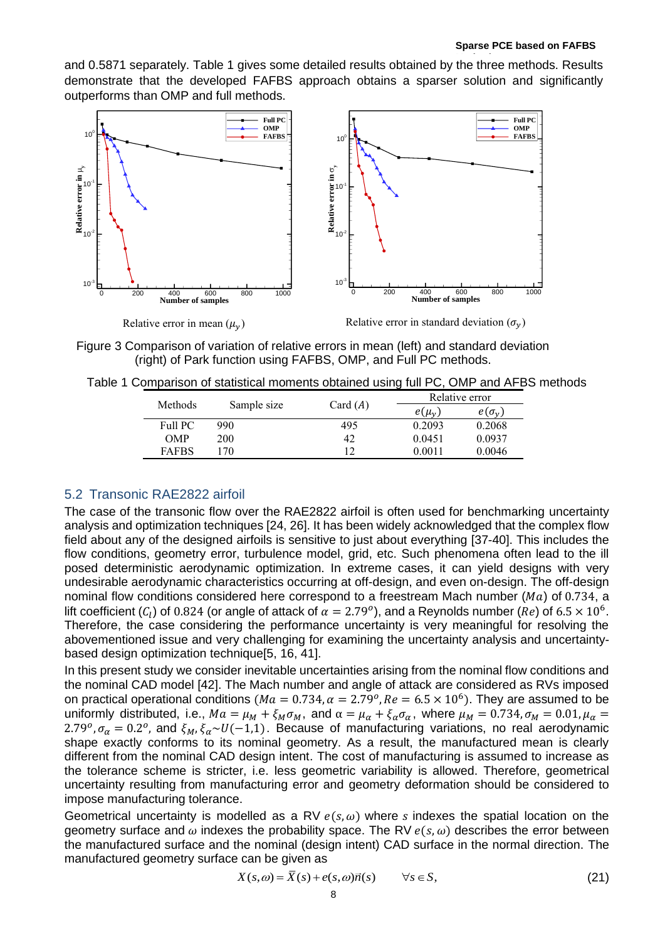and 0.5871 separately. [Table 1](#page-7-1) gives some detailed results obtained by the three methods. Results demonstrate that the developed FAFBS approach obtains a sparser solution and significantly outperforms than OMP and full methods.



Relative error in mean  $(\mu_v)$  Relative error in standard deviation  $(\sigma_y)$ 

<span id="page-7-0"></span>Figure 3 Comparison of variation of relative errors in mean (left) and standard deviation (right) of Park function using FAFBS, OMP, and Full PC methods.

<span id="page-7-1"></span>

| Table 1 Comparison of statistical moments obtained using full PC, OMP and AFBS methods |  |  |  |  |  |
|----------------------------------------------------------------------------------------|--|--|--|--|--|
|----------------------------------------------------------------------------------------|--|--|--|--|--|

| Methods      | Sample size |            | Relative error |                     |  |
|--------------|-------------|------------|----------------|---------------------|--|
|              |             | Card $(A)$ | $e(\mu_{\nu})$ | $e(\sigma_{\rm v})$ |  |
| Full PC      | 990         | 495        | 0.2093         | 0.2068              |  |
| OMP          | 200         | 42         | 0.0451         | 0.0937              |  |
| <b>FAFBS</b> | 70          | 12         | 0.0011         | 0.0046              |  |

# 5.2 Transonic RAE2822 airfoil

The case of the transonic flow over the RAE2822 airfoil is often used for benchmarking uncertainty analysis and optimization techniques [24, 26]. It has been widely acknowledged that the complex flow field about any of the designed airfoils is sensitive to just about everything [37-40]. This includes the flow conditions, geometry error, turbulence model, grid, etc. Such phenomena often lead to the ill posed deterministic aerodynamic optimization. In extreme cases, it can yield designs with very undesirable aerodynamic characteristics occurring at off-design, and even on-design. The off-design nominal flow conditions considered here correspond to a freestream Mach number ( $Ma$ ) of 0.734, a lift coefficient ( $C_l$ ) of 0.824 (or angle of attack of  $\alpha = 2.79^o$ ), and a Reynolds number (Re) of 6.5  $\times$  10<sup>6</sup>. Therefore, the case considering the performance uncertainty is very meaningful for resolving the abovementioned issue and very challenging for examining the uncertainty analysis and uncertaintybased design optimization technique[5, 16, 41].

In this present study we consider inevitable uncertainties arising from the nominal flow conditions and the nominal CAD model [42]. The Mach number and angle of attack are considered as RVs imposed on practical operational conditions ( $Ma = 0.734$ ,  $\alpha = 2.79^{\circ}$ ,  $Re = 6.5 \times 10^6$ ). They are assumed to be uniformly distributed, i.e.,  $Ma = \mu_M + \xi_M \sigma_M$ , and  $\alpha = \mu_\alpha + \xi_\alpha \sigma_\alpha$ , where  $\mu_M = 0.734$ ,  $\sigma_M = 0.01$ ,  $\mu_\alpha =$ 2.79<sup>o</sup>,  $\sigma_{\alpha} = 0.2^{\circ}$ , and  $\xi_M$ ,  $\xi_{\alpha} \sim U(-1,1)$ . Because of manufacturing variations, no real aerodynamic shape exactly conforms to its nominal geometry. As a result, the manufactured mean is clearly different from the nominal CAD design intent. The cost of manufacturing is assumed to increase as the tolerance scheme is stricter, i.e. less geometric variability is allowed. Therefore, geometrical uncertainty resulting from manufacturing error and geometry deformation should be considered to impose manufacturing tolerance.

Geometrical uncertainty is modelled as a RV  $e(s, \omega)$  where s indexes the spatial location on the geometry surface and  $\omega$  indexes the probability space. The RV  $e(s, \omega)$  describes the error between the manufactured surface and the nominal (design intent) CAD surface in the normal direction. The manufactured geometry surface can be given as

$$
X(s, \omega) = \overline{X}(s) + e(s, \omega)\overline{n}(s) \qquad \forall s \in S,
$$
\n(21)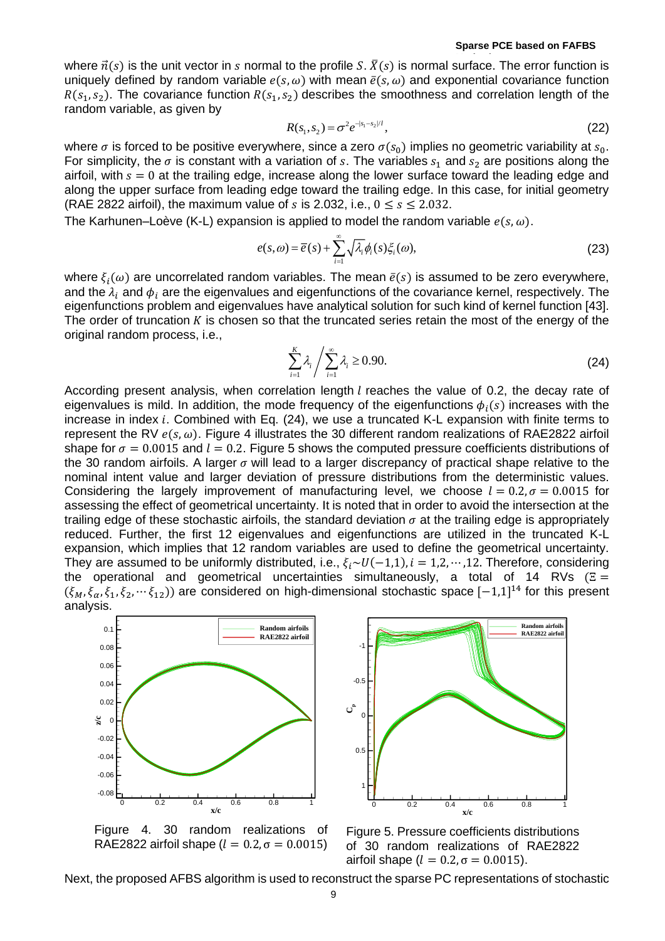where  $\vec{n}(s)$  is the unit vector in s normal to the profile S.  $\vec{X}(s)$  is normal surface. The error function is uniquely defined by random variable  $e(s, \omega)$  with mean  $\bar{e}(s, \omega)$  and exponential covariance function  $R(s_1, s_2)$ . The covariance function  $R(s_1, s_2)$  describes the smoothness and correlation length of the random variable, as given by

$$
R(s_1, s_2) = \sigma^2 e^{-|s_1 - s_2|/l}, \tag{22}
$$

where  $\sigma$  is forced to be positive everywhere, since a zero  $\sigma(s_0)$  implies no geometric variability at  $s_0$ . For simplicity, the  $\sigma$  is constant with a variation of s. The variables  $s_1$  and  $s_2$  are positions along the airfoil, with  $s = 0$  at the trailing edge, increase along the lower surface toward the leading edge and along the upper surface from leading edge toward the trailing edge. In this case, for initial geometry (RAE 2822 airfoil), the maximum value of s is 2.032, i.e.,  $0 \le s \le 2.032$ .

The Karhunen–Loève (K-L) expansion is applied to model the random variable  $e(s, \omega)$ .

$$
e(s,\omega) = \overline{e}(s) + \sum_{i=1}^{\infty} \sqrt{\lambda_i} \phi_i(s) \xi_i(\omega),
$$
\n(23)

where  $\xi_i(\omega)$  are uncorrelated random variables. The mean  $\bar{\epsilon}(s)$  is assumed to be zero everywhere, and the  $\lambda_i$  and  $\phi_i$  are the eigenvalues and eigenfunctions of the covariance kernel, respectively. The eigenfunctions problem and eigenvalues have analytical solution for such kind of kernel function [43]. The order of truncation  $K$  is chosen so that the truncated series retain the most of the energy of the original random process, i.e.,

$$
\sum_{i=1}^{K} \lambda_i / \sum_{i=1}^{\infty} \lambda_i \ge 0.90.
$$
 (24)

According present analysis, when correlation length  $l$  reaches the value of 0.2, the decay rate of eigenvalues is mild. In addition, the mode frequency of the eigenfunctions  $\phi_i(s)$  increases with the increase in index  $i$ . Combined with Eq. (24), we use a truncated K-L expansion with finite terms to represent the RV  $e(s, \omega)$ . [Figure 4](#page-8-0) illustrates the 30 different random realizations of RAE2822 airfoil shape for  $\sigma = 0.0015$  and  $l = 0.2$ . [Figure 5](#page-8-1) shows the computed pressure coefficients distributions of the 30 random airfoils. A larger  $\sigma$  will lead to a larger discrepancy of practical shape relative to the nominal intent value and larger deviation of pressure distributions from the deterministic values. Considering the largely improvement of manufacturing level, we choose  $l = 0.2, \sigma = 0.0015$  for assessing the effect of geometrical uncertainty. It is noted that in order to avoid the intersection at the trailing edge of these stochastic airfoils, the standard deviation  $\sigma$  at the trailing edge is appropriately reduced. Further, the first 12 eigenvalues and eigenfunctions are utilized in the truncated K-L expansion, which implies that 12 random variables are used to define the geometrical uncertainty. They are assumed to be uniformly distributed, i.e.,  $\xi_i \sim U(-1,1)$ ,  $i = 1,2,\dots,12$ . Therefore, considering the operational and geometrical uncertainties simultaneously, a total of 14 RVs ( $E =$  $(\xi_M, \xi_\alpha, \xi_1, \xi_2, \dots, \xi_{12})$  are considered on high-dimensional stochastic space  $[-1,1]^{14}$  for this present analysis.



<span id="page-8-0"></span>Figure 4. 30 random realizations of RAE2822 airfoil shape ( $l = 0.2$ ,  $\sigma = 0.0015$ )



<span id="page-8-1"></span>Figure 5. Pressure coefficients distributions of 30 random realizations of RAE2822 airfoil shape ( $l = 0.2$ , σ = 0.0015).

Next, the proposed AFBS algorithm is used to reconstruct the sparse PC representations of stochastic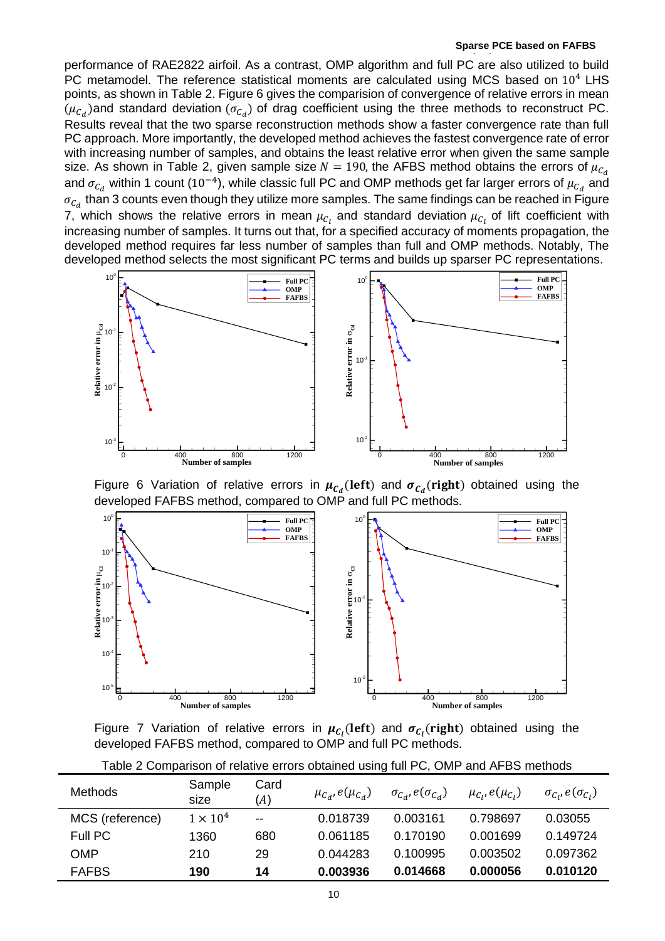performance of RAE2822 airfoil. As a contrast, OMP algorithm and full PC are also utilized to build PC metamodel. The reference statistical moments are calculated using MCS based on  $10<sup>4</sup>$  LHS points, as shown in [Table 2.](#page-9-0) [Figure 6](#page-9-1) gives the comparision of convergence of relative errors in mean  $(\mu_{\mathcal{C}_d})$ and standard deviation  $(\sigma_{\mathcal{C}_d})$  of drag coefficient using the three methods to reconstruct PC. Results reveal that the two sparse reconstruction methods show a faster convergence rate than full PC approach. More importantly, the developed method achieves the fastest convergence rate of error with increasing number of samples, and obtains the least relative error when given the same sample size. As shown in [Table 2,](#page-9-0) given sample size  $N = 190$ , the AFBS method obtains the errors of  $\mu_{C_d}$ and  $\sigma_{\mathcal{C}_d}$  within 1 count (10<sup>−4</sup>), while classic full PC and OMP methods get far larger errors of  $\mu_{\mathcal{C}_d}$  and  $\sigma_{\mathcal{C}_d}$  than 3 counts even though they utilize more samples. The same findings can be reached in Figure [7,](#page-9-2) which shows the relative errors in mean  $\mu_{C_l}$  and standard deviation  $\mu_{C_l}$  of lift coefficient with increasing number of samples. It turns out that, for a specified accuracy of moments propagation, the developed method requires far less number of samples than full and OMP methods. Notably, The developed method selects the most significant PC terms and builds up sparser PC representations.



<span id="page-9-1"></span>Figure 6 Variation of relative errors in  $\mu_{\mathcal{C}_d}(\text{left})$  and  $\sigma_{\mathcal{C}_d}(\text{right})$  obtained using the developed FAFBS method, compared to OMP and full PC methods.



<span id="page-9-2"></span>Figure 7 Variation of relative errors in  $\mu_{C_l}(\text{left})$  and  $\sigma_{C_l}(\text{right})$  obtained using the developed FAFBS method, compared to OMP and full PC methods.

<span id="page-9-0"></span>

| <b>Methods</b>  | Sample<br>size  | Card<br>(A) | $\mu_{C_d}, e(\mu_{C_d})$ | $\sigma_{C_d}$ , $e(\sigma_{C_d})$ | $\mu_{C_i}, e(\mu_{C_i})$ | $\sigma_{C_i}, e(\sigma_{C_i})$ |
|-----------------|-----------------|-------------|---------------------------|------------------------------------|---------------------------|---------------------------------|
| MCS (reference) | $1 \times 10^4$ | $-$         | 0.018739                  | 0.003161                           | 0.798697                  | 0.03055                         |
| Full PC         | 1360            | 680         | 0.061185                  | 0.170190                           | 0.001699                  | 0.149724                        |
| OMP             | 210             | 29          | 0.044283                  | 0.100995                           | 0.003502                  | 0.097362                        |
| <b>FAFBS</b>    | 190             | 14          | 0.003936                  | 0.014668                           | 0.000056                  | 0.010120                        |

Table 2 Comparison of relative errors obtained using full PC, OMP and AFBS methods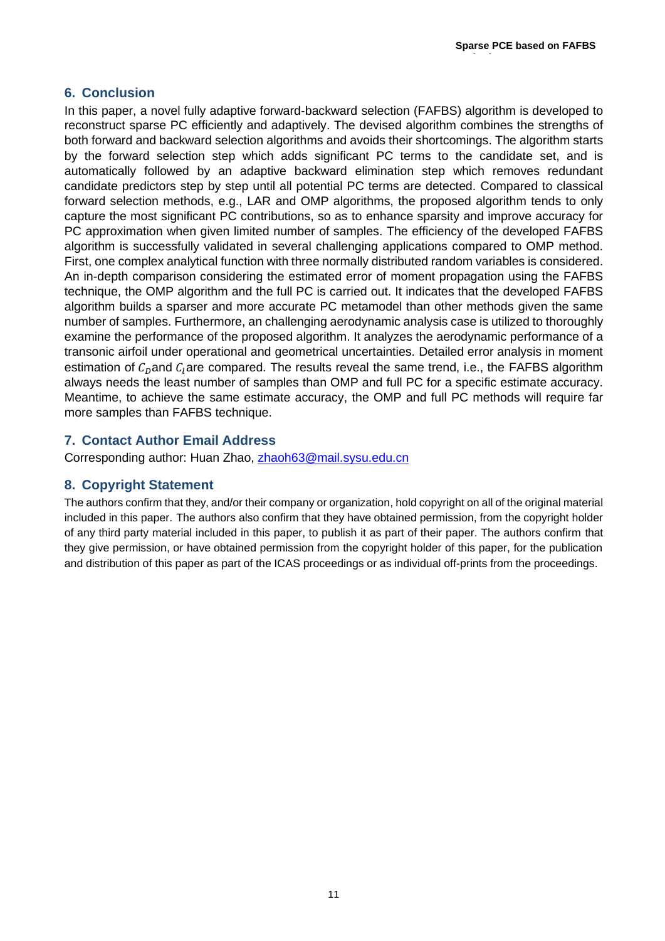**Method**

# <span id="page-10-0"></span>**6. Conclusion**

In this paper, a novel fully adaptive forward-backward selection (FAFBS) algorithm is developed to reconstruct sparse PC efficiently and adaptively. The devised algorithm combines the strengths of both forward and backward selection algorithms and avoids their shortcomings. The algorithm starts by the forward selection step which adds significant PC terms to the candidate set, and is automatically followed by an adaptive backward elimination step which removes redundant candidate predictors step by step until all potential PC terms are detected. Compared to classical forward selection methods, e.g., LAR and OMP algorithms, the proposed algorithm tends to only capture the most significant PC contributions, so as to enhance sparsity and improve accuracy for PC approximation when given limited number of samples. The efficiency of the developed FAFBS algorithm is successfully validated in several challenging applications compared to OMP method. First, one complex analytical function with three normally distributed random variables is considered. An in-depth comparison considering the estimated error of moment propagation using the FAFBS technique, the OMP algorithm and the full PC is carried out. It indicates that the developed FAFBS algorithm builds a sparser and more accurate PC metamodel than other methods given the same number of samples. Furthermore, an challenging aerodynamic analysis case is utilized to thoroughly examine the performance of the proposed algorithm. It analyzes the aerodynamic performance of a transonic airfoil under operational and geometrical uncertainties. Detailed error analysis in moment estimation of  $C_{n}$  and  $C_{i}$  are compared. The results reveal the same trend, i.e., the FAFBS algorithm always needs the least number of samples than OMP and full PC for a specific estimate accuracy. Meantime, to achieve the same estimate accuracy, the OMP and full PC methods will require far more samples than FAFBS technique.

# **7. Contact Author Email Address**

Corresponding author: Huan Zhao, [zhaoh63@mail.sysu.edu.cn](mailto:zhaoh63@mail.sysu.edu.cn)

# **8. Copyright Statement**

The authors confirm that they, and/or their company or organization, hold copyright on all of the original material included in this paper. The authors also confirm that they have obtained permission, from the copyright holder of any third party material included in this paper, to publish it as part of their paper. The authors confirm that they give permission, or have obtained permission from the copyright holder of this paper, for the publication and distribution of this paper as part of the ICAS proceedings or as individual off-prints from the proceedings.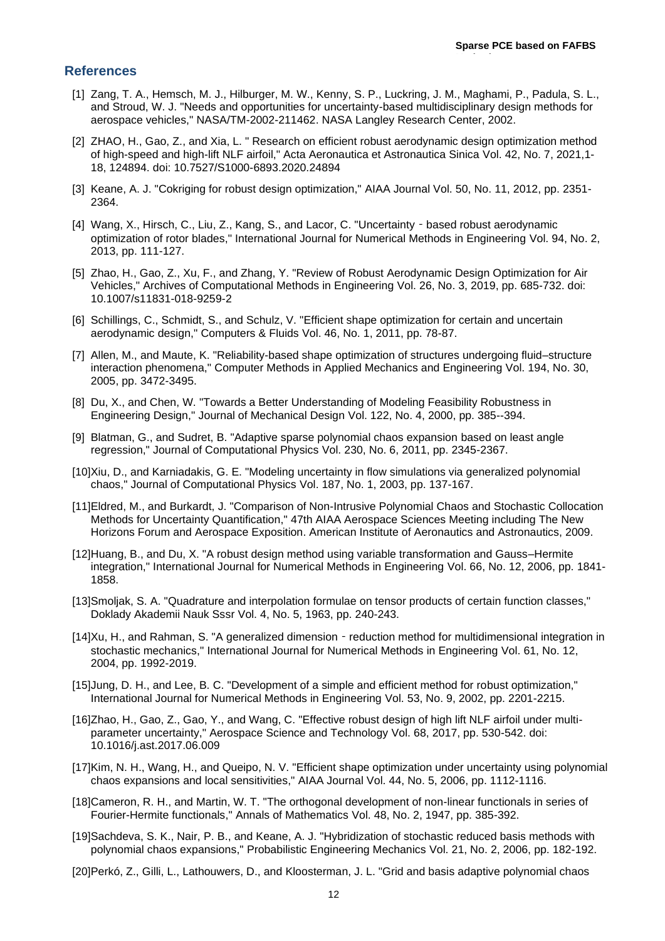**Method**

#### **References**

- [1] Zang, T. A., Hemsch, M. J., Hilburger, M. W., Kenny, S. P., Luckring, J. M., Maghami, P., Padula, S. L., and Stroud, W. J. "Needs and opportunities for uncertainty-based multidisciplinary design methods for aerospace vehicles," NASA/TM-2002-211462. NASA Langley Research Center, 2002.
- [2] ZHAO, H., Gao, Z., and Xia, L. " Research on efficient robust aerodynamic design optimization method of high-speed and high-lift NLF airfoil," Acta Aeronautica et Astronautica Sinica Vol. 42, No. 7, 2021,1- 18, 124894. doi: 10.7527/S1000-6893.2020.24894
- [3] Keane, A. J. "Cokriging for robust design optimization," AIAA Journal Vol. 50, No. 11, 2012, pp. 2351- 2364.
- [4] Wang, X., Hirsch, C., Liu, Z., Kang, S., and Lacor, C. "Uncertainty based robust aerodynamic optimization of rotor blades," International Journal for Numerical Methods in Engineering Vol. 94, No. 2, 2013, pp. 111-127.
- [5] Zhao, H., Gao, Z., Xu, F., and Zhang, Y. "Review of Robust Aerodynamic Design Optimization for Air Vehicles," Archives of Computational Methods in Engineering Vol. 26, No. 3, 2019, pp. 685-732. doi: 10.1007/s11831-018-9259-2
- [6] Schillings, C., Schmidt, S., and Schulz, V. "Efficient shape optimization for certain and uncertain aerodynamic design," Computers & Fluids Vol. 46, No. 1, 2011, pp. 78-87.
- [7] Allen, M., and Maute, K. "Reliability-based shape optimization of structures undergoing fluid–structure interaction phenomena," Computer Methods in Applied Mechanics and Engineering Vol. 194, No. 30, 2005, pp. 3472-3495.
- [8] Du, X., and Chen, W. "Towards a Better Understanding of Modeling Feasibility Robustness in Engineering Design," Journal of Mechanical Design Vol. 122, No. 4, 2000, pp. 385--394.
- [9] Blatman, G., and Sudret, B. "Adaptive sparse polynomial chaos expansion based on least angle regression," Journal of Computational Physics Vol. 230, No. 6, 2011, pp. 2345-2367.
- [10]Xiu, D., and Karniadakis, G. E. "Modeling uncertainty in flow simulations via generalized polynomial chaos," Journal of Computational Physics Vol. 187, No. 1, 2003, pp. 137-167.
- [11]Eldred, M., and Burkardt, J. "Comparison of Non-Intrusive Polynomial Chaos and Stochastic Collocation Methods for Uncertainty Quantification," 47th AIAA Aerospace Sciences Meeting including The New Horizons Forum and Aerospace Exposition. American Institute of Aeronautics and Astronautics, 2009.
- [12]Huang, B., and Du, X. "A robust design method using variable transformation and Gauss–Hermite integration," International Journal for Numerical Methods in Engineering Vol. 66, No. 12, 2006, pp. 1841- 1858.
- [13]Smoljak, S. A. "Quadrature and interpolation formulae on tensor products of certain function classes," Doklady Akademii Nauk Sssr Vol. 4, No. 5, 1963, pp. 240-243.
- [14]Xu, H., and Rahman, S. "A generalized dimension reduction method for multidimensional integration in stochastic mechanics," International Journal for Numerical Methods in Engineering Vol. 61, No. 12, 2004, pp. 1992-2019.
- [15]Jung, D. H., and Lee, B. C. "Development of a simple and efficient method for robust optimization," International Journal for Numerical Methods in Engineering Vol. 53, No. 9, 2002, pp. 2201-2215.
- [16]Zhao, H., Gao, Z., Gao, Y., and Wang, C. "Effective robust design of high lift NLF airfoil under multiparameter uncertainty," Aerospace Science and Technology Vol. 68, 2017, pp. 530-542. doi: 10.1016/j.ast.2017.06.009
- [17]Kim, N. H., Wang, H., and Queipo, N. V. "Efficient shape optimization under uncertainty using polynomial chaos expansions and local sensitivities," AIAA Journal Vol. 44, No. 5, 2006, pp. 1112-1116.
- [18]Cameron, R. H., and Martin, W. T. "The orthogonal development of non-linear functionals in series of Fourier-Hermite functionals," Annals of Mathematics Vol. 48, No. 2, 1947, pp. 385-392.
- [19]Sachdeva, S. K., Nair, P. B., and Keane, A. J. "Hybridization of stochastic reduced basis methods with polynomial chaos expansions," Probabilistic Engineering Mechanics Vol. 21, No. 2, 2006, pp. 182-192.
- [20]Perkó, Z., Gilli, L., Lathouwers, D., and Kloosterman, J. L. "Grid and basis adaptive polynomial chaos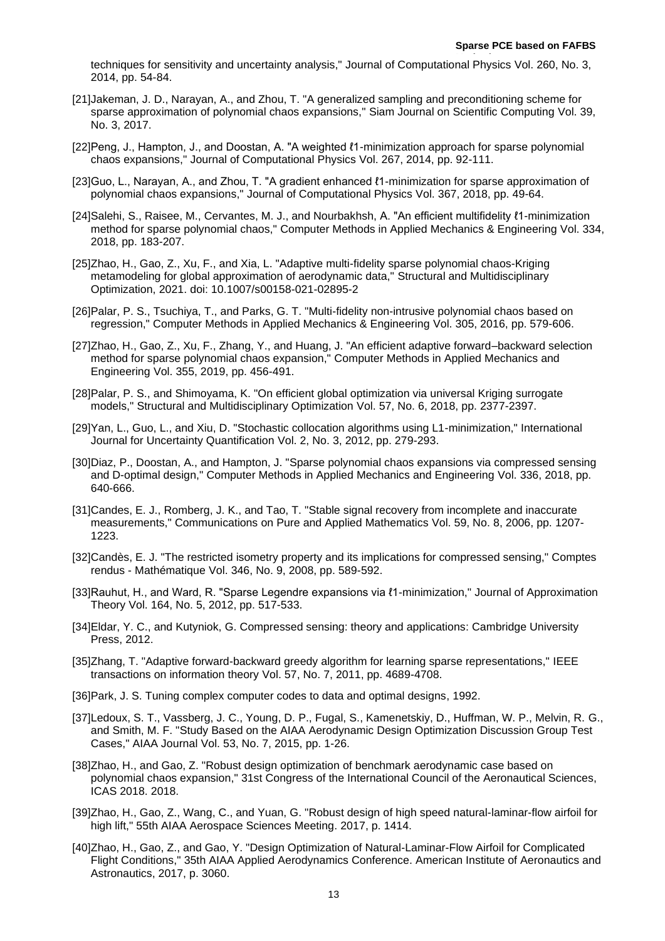techniques for sensitivity and uncertainty analysis," Journal of Computational Physics Vol. 260, No. 3, 2014, pp. 54-84.

- [21]Jakeman, J. D., Narayan, A., and Zhou, T. "A generalized sampling and preconditioning scheme for sparse approximation of polynomial chaos expansions," Siam Journal on Scientific Computing Vol. 39, No. 3, 2017.
- [22]Peng, J., Hampton, J., and Doostan, A. "A weighted ℓ1-minimization approach for sparse polynomial chaos expansions," Journal of Computational Physics Vol. 267, 2014, pp. 92-111.
- [23]Guo, L., Narayan, A., and Zhou, T. "A gradient enhanced ℓ1-minimization for sparse approximation of polynomial chaos expansions," Journal of Computational Physics Vol. 367, 2018, pp. 49-64.
- [24]Salehi, S., Raisee, M., Cervantes, M. J., and Nourbakhsh, A. "An efficient multifidelity ℓ1-minimization method for sparse polynomial chaos," Computer Methods in Applied Mechanics & Engineering Vol. 334, 2018, pp. 183-207.
- [25]Zhao, H., Gao, Z., Xu, F., and Xia, L. "Adaptive multi-fidelity sparse polynomial chaos-Kriging metamodeling for global approximation of aerodynamic data," Structural and Multidisciplinary Optimization, 2021. doi: 10.1007/s00158-021-02895-2
- [26]Palar, P. S., Tsuchiya, T., and Parks, G. T. "Multi-fidelity non-intrusive polynomial chaos based on regression," Computer Methods in Applied Mechanics & Engineering Vol. 305, 2016, pp. 579-606.
- [27]Zhao, H., Gao, Z., Xu, F., Zhang, Y., and Huang, J. "An efficient adaptive forward–backward selection method for sparse polynomial chaos expansion," Computer Methods in Applied Mechanics and Engineering Vol. 355, 2019, pp. 456-491.
- [28]Palar, P. S., and Shimoyama, K. "On efficient global optimization via universal Kriging surrogate models," Structural and Multidisciplinary Optimization Vol. 57, No. 6, 2018, pp. 2377-2397.
- [29]Yan, L., Guo, L., and Xiu, D. "Stochastic collocation algorithms using L1-minimization," International Journal for Uncertainty Quantification Vol. 2, No. 3, 2012, pp. 279-293.
- [30]Diaz, P., Doostan, A., and Hampton, J. "Sparse polynomial chaos expansions via compressed sensing and D-optimal design," Computer Methods in Applied Mechanics and Engineering Vol. 336, 2018, pp. 640-666.
- [31]Candes, E. J., Romberg, J. K., and Tao, T. "Stable signal recovery from incomplete and inaccurate measurements," Communications on Pure and Applied Mathematics Vol. 59, No. 8, 2006, pp. 1207- 1223.
- [32]Candès, E. J. "The restricted isometry property and its implications for compressed sensing," Comptes rendus - Mathématique Vol. 346, No. 9, 2008, pp. 589-592.
- [33]Rauhut, H., and Ward, R. "Sparse Legendre expansions via ℓ1-minimization," Journal of Approximation Theory Vol. 164, No. 5, 2012, pp. 517-533.
- [34]Eldar, Y. C., and Kutyniok, G. Compressed sensing: theory and applications: Cambridge University Press, 2012.
- [35]Zhang, T. "Adaptive forward-backward greedy algorithm for learning sparse representations," IEEE transactions on information theory Vol. 57, No. 7, 2011, pp. 4689-4708.
- [36]Park, J. S. Tuning complex computer codes to data and optimal designs, 1992.
- [37]Ledoux, S. T., Vassberg, J. C., Young, D. P., Fugal, S., Kamenetskiy, D., Huffman, W. P., Melvin, R. G., and Smith, M. F. "Study Based on the AIAA Aerodynamic Design Optimization Discussion Group Test Cases," AIAA Journal Vol. 53, No. 7, 2015, pp. 1-26.
- [38]Zhao, H., and Gao, Z. "Robust design optimization of benchmark aerodynamic case based on polynomial chaos expansion," 31st Congress of the International Council of the Aeronautical Sciences, ICAS 2018. 2018.
- [39]Zhao, H., Gao, Z., Wang, C., and Yuan, G. "Robust design of high speed natural-laminar-flow airfoil for high lift," 55th AIAA Aerospace Sciences Meeting. 2017, p. 1414.
- [40]Zhao, H., Gao, Z., and Gao, Y. "Design Optimization of Natural-Laminar-Flow Airfoil for Complicated Flight Conditions," 35th AIAA Applied Aerodynamics Conference. American Institute of Aeronautics and Astronautics, 2017, p. 3060.